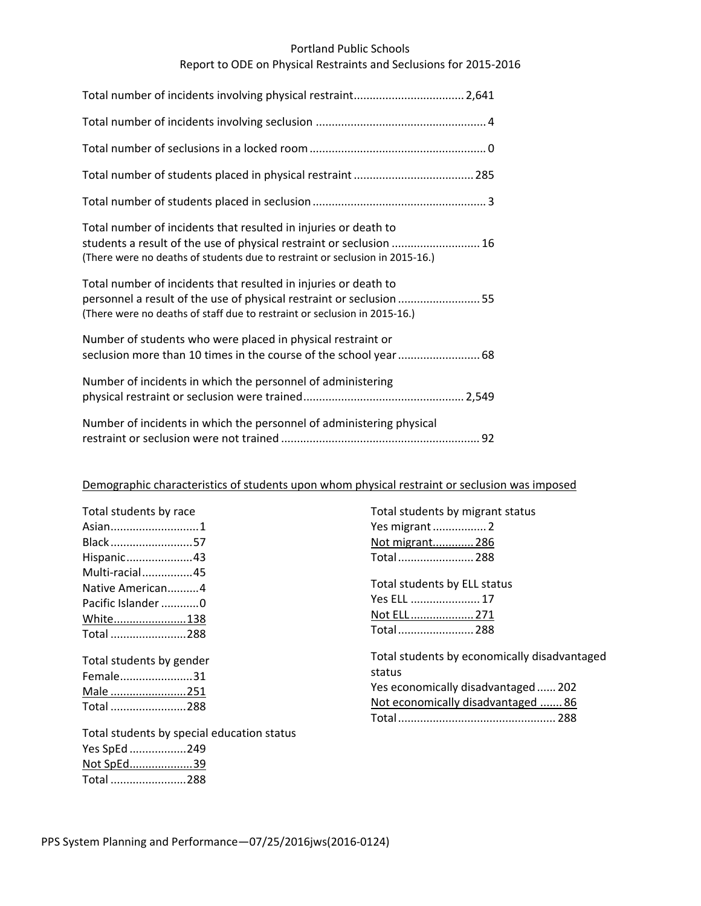## Portland Public Schools

# Report to ODE on Physical Restraints and Seclusions for 2015‐2016

| Total number of incidents that resulted in injuries or death to<br>students a result of the use of physical restraint or seclusion  16<br>(There were no deaths of students due to restraint or seclusion in 2015-16.) |
|------------------------------------------------------------------------------------------------------------------------------------------------------------------------------------------------------------------------|
| Total number of incidents that resulted in injuries or death to<br>personnel a result of the use of physical restraint or seclusion 55<br>(There were no deaths of staff due to restraint or seclusion in 2015-16.)    |
| Number of students who were placed in physical restraint or                                                                                                                                                            |
| Number of incidents in which the personnel of administering                                                                                                                                                            |
| Number of incidents in which the personnel of administering physical                                                                                                                                                   |

## Demographic characteristics of students upon whom physical restraint or seclusion was imposed

| Total students by race                     | Total students by migrant status                       |
|--------------------------------------------|--------------------------------------------------------|
| Asian1                                     | Yes migrant  2                                         |
| Black57                                    | Not migrant 286                                        |
| Hispanic43                                 | Total 288                                              |
| Multi-racial45                             |                                                        |
| Native American4                           | Total students by ELL status                           |
| Pacific Islander 0                         | Yes ELL  17                                            |
| White138<br>Total 288                      | Not ELL 271                                            |
|                                            | Total 288                                              |
| Total students by gender                   | Total students by economically disadvantaged<br>status |
| Female31                                   | Yes economically disadvantaged 202                     |
| Male 251                                   |                                                        |
| Total 288                                  | Not economically disadvantaged  86                     |
|                                            |                                                        |
| Total students by special education status |                                                        |
| Yes SpEd 249                               |                                                        |

PPS System Planning and Performance—07/25/2016jws(2016‐0124)

Not SpEd....................39 Total ........................288